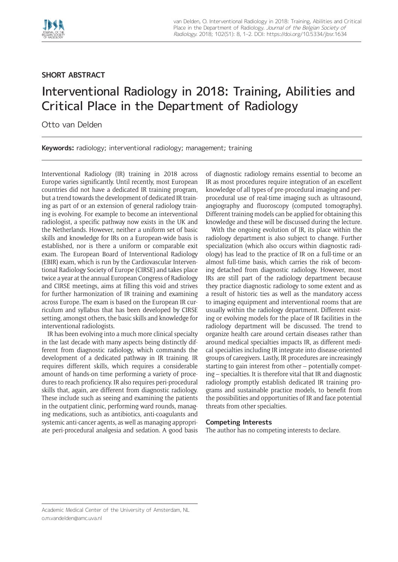

## **SHORT ABSTRACT**

## Interventional Radiology in 2018: Training, Abilities and Critical Place in the Department of Radiology

Otto van Delden

**Keywords:** radiology; interventional radiology; management; training

Interventional Radiology (IR) training in 2018 across Europe varies significantly. Until recently, most European countries did not have a dedicated IR training program, but a trend towards the development of dedicated IR training as part of or an extension of general radiology training is evolving. For example to become an interventional radiologist, a specific pathway now exists in the UK and the Netherlands. However, neither a uniform set of basic skills and knowledge for IRs on a European-wide basis is established, nor is there a uniform or comparable exit exam. The European Board of Interventional Radiology (EBIR) exam, which is run by the Cardiovascular Interventional Radiology Society of Europe (CIRSE) and takes place twice a year at the annual European Congress of Radiology and CIRSE meetings, aims at filling this void and strives for further harmonization of IR training and examining across Europe. The exam is based on the European IR curriculum and syllabus that has been developed by CIRSE setting, amongst others, the basic skills and knowledge for interventional radiologists.

IR has been evolving into a much more clinical specialty in the last decade with many aspects being distinctly different from diagnostic radiology, which commands the development of a dedicated pathway in IR training. IR requires different skills, which requires a considerable amount of hands-on time performing a variety of procedures to reach proficiency. IR also requires peri-procedural skills that, again, are different from diagnostic radiology. These include such as seeing and examining the patients in the outpatient clinic, performing ward rounds, managing medications, such as antibiotics, anti-coagulants and systemic anti-cancer agents, as well as managing appropriate peri-procedural analgesia and sedation. A good basis of diagnostic radiology remains essential to become an IR as most procedures require integration of an excellent knowledge of all types of pre-procedural imaging and perprocedural use of real-time imaging such as ultrasound, angiography and fluoroscopy (computed tomography). Different training models can be applied for obtaining this knowledge and these will be discussed during the lecture.

With the ongoing evolution of IR, its place within the radiology department is also subject to change. Further specialization (which also occurs within diagnostic radiology) has lead to the practice of IR on a full-time or an almost full-time basis, which carries the risk of becoming detached from diagnostic radiology. However, most IRs are still part of the radiology department because they practice diagnostic radiology to some extent and as a result of historic ties as well as the mandatory access to imaging equipment and interventional rooms that are usually within the radiology department. Different existing or evolving models for the place of IR facilities in the radiology department will be discussed. The trend to organize health care around certain diseases rather than around medical specialties impacts IR, as different medical specialties including IR integrate into disease-oriented groups of caregivers. Lastly, IR procedures are increasingly starting to gain interest from other – potentially competing – specialties. It is therefore vital that IR and diagnostic radiology promptly establish dedicated IR training programs and sustainable practice models, to benefit from the possibilities and opportunities of IR and face potential threats from other specialties.

## **Competing Interests**

The author has no competing interests to declare.

Academic Medical Center of the University of Amsterdam, NL [o.m.vandelden@amc.uva.nl](mailto:o.m.vandelden@amc.uva.nl)